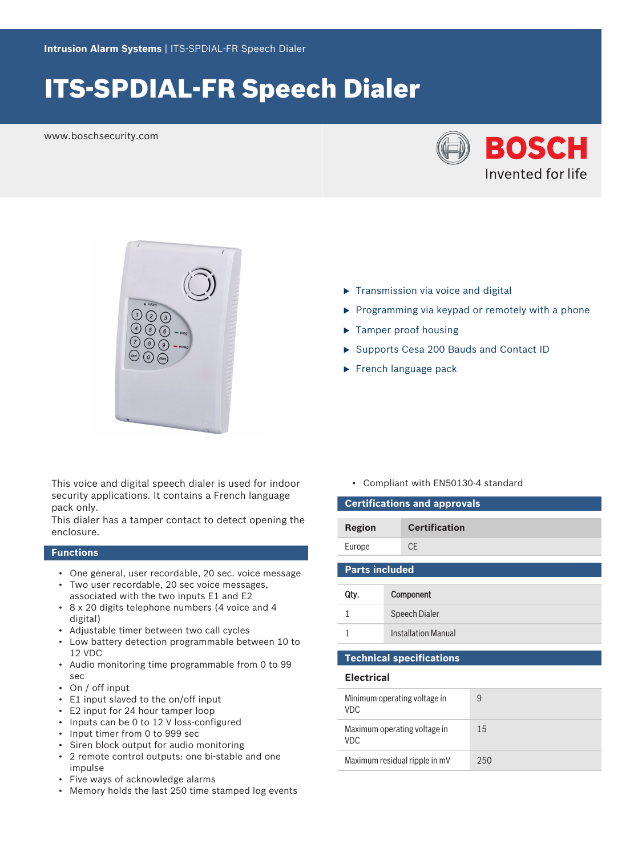# ITS-SPDIAL-FR Speech Dialer

www.boschsecurity.com





This voice and digital speech dialer is used for indoor security applications. It contains a French language pack only.

This dialer has a tamper contact to detect opening the enclosure.

## **Functions**

- One general, user recordable, 20 sec. voice message
- Two user recordable, 20 sec voice messages, associated with the two inputs E1 and E2
- 8 x 20 digits telephone numbers (4 voice and 4 digital)
- Adjustable timer between two call cycles
- Low battery detection programmable between 10 to 12 VDC
- Audio monitoring time programmable from 0 to 99 sec
- On / off input
- E1 input slaved to the on/off input
- E2 input for 24 hour tamper loop
- Inputs can be 0 to 12 V loss-configured
- Input timer from 0 to 999 sec
- Siren block output for audio monitoring
- 2 remote control outputs: one bi-stable and one impulse
- Five ways of acknowledge alarms
- Memory holds the last 250 time stamped log events

 $\blacktriangleright$  Tamper proof housing

 $\blacktriangleright$  Transmission via voice and digital

▶ Supports Cesa 200 Bauds and Contact ID

 $\triangleright$  Programming via keypad or remotely with a phone

 $\blacktriangleright$  French language pack

• Compliant with EN50130-4 standard

| <b>Certifications and approvals</b>        |                            |    |  |  |
|--------------------------------------------|----------------------------|----|--|--|
| Region                                     | <b>Certification</b>       |    |  |  |
| Europe                                     | <b>CE</b>                  |    |  |  |
| <b>Parts included</b>                      |                            |    |  |  |
| Qty.                                       | Component                  |    |  |  |
| 1                                          | <b>Speech Dialer</b>       |    |  |  |
| 1                                          | <b>Installation Manual</b> |    |  |  |
| <b>Technical specifications</b>            |                            |    |  |  |
| <b>Electrical</b>                          |                            |    |  |  |
| Minimum operating voltage in<br><b>VDC</b> |                            | 9  |  |  |
| Maximum operating voltage in<br>VDC        |                            | 15 |  |  |

Maximum residual ripple in mV 250